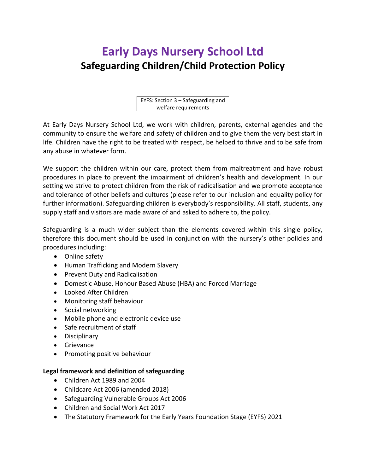# **Early Days Nursery School Ltd Safeguarding Children/Child Protection Policy**

EYFS: Section 3 – Safeguarding and welfare requirements

At Early Days Nursery School Ltd, we work with children, parents, external agencies and the community to ensure the welfare and safety of children and to give them the very best start in life. Children have the right to be treated with respect, be helped to thrive and to be safe from any abuse in whatever form.

We support the children within our care, protect them from maltreatment and have robust procedures in place to prevent the impairment of children's health and development. In our setting we strive to protect children from the risk of radicalisation and we promote acceptance and tolerance of other beliefs and cultures (please refer to our inclusion and equality policy for further information). Safeguarding children is everybody's responsibility. All staff, students, any supply staff and visitors are made aware of and asked to adhere to, the policy.

Safeguarding is a much wider subject than the elements covered within this single policy, therefore this document should be used in conjunction with the nursery's other policies and procedures including:

- Online safety
- Human Trafficking and Modern Slavery
- Prevent Duty and Radicalisation
- Domestic Abuse, Honour Based Abuse (HBA) and Forced Marriage
- Looked After Children
- Monitoring staff behaviour
- Social networking
- Mobile phone and electronic device use
- Safe recruitment of staff
- Disciplinary
- Grievance
- Promoting positive behaviour

#### **Legal framework and definition of safeguarding**

- Children Act 1989 and 2004
- Childcare Act 2006 (amended 2018)
- Safeguarding Vulnerable Groups Act 2006
- Children and Social Work Act 2017
- The Statutory Framework for the Early Years Foundation Stage (EYFS) 2021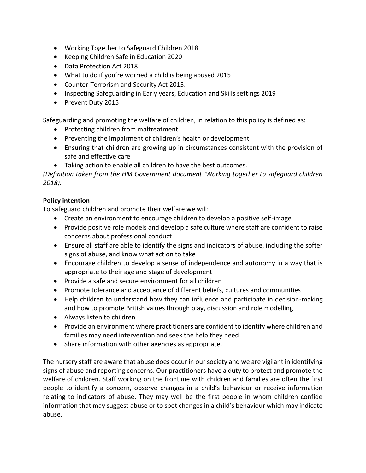- Working Together to Safeguard Children 2018
- Keeping Children Safe in Education 2020
- Data Protection Act 2018
- What to do if you're worried a child is being abused 2015
- Counter-Terrorism and Security Act 2015.
- Inspecting Safeguarding in Early years, Education and Skills settings 2019
- Prevent Duty 2015

Safeguarding and promoting the welfare of children, in relation to this policy is defined as:

- Protecting children from maltreatment
- Preventing the impairment of children's health or development
- Ensuring that children are growing up in circumstances consistent with the provision of safe and effective care
- Taking action to enable all children to have the best outcomes.

*(Definition taken from the HM Government document 'Working together to safeguard children 2018).*

## **Policy intention**

To safeguard children and promote their welfare we will:

- Create an environment to encourage children to develop a positive self-image
- Provide positive role models and develop a safe culture where staff are confident to raise concerns about professional conduct
- Ensure all staff are able to identify the signs and indicators of abuse, including the softer signs of abuse, and know what action to take
- Encourage children to develop a sense of independence and autonomy in a way that is appropriate to their age and stage of development
- Provide a safe and secure environment for all children
- Promote tolerance and acceptance of different beliefs, cultures and communities
- Help children to understand how they can influence and participate in decision-making and how to promote British values through play, discussion and role modelling
- Always listen to children
- Provide an environment where practitioners are confident to identify where children and families may need intervention and seek the help they need
- Share information with other agencies as appropriate.

The nursery staff are aware that abuse does occur in our society and we are vigilant in identifying signs of abuse and reporting concerns. Our practitioners have a duty to protect and promote the welfare of children. Staff working on the frontline with children and families are often the first people to identify a concern, observe changes in a child's behaviour or receive information relating to indicators of abuse. They may well be the first people in whom children confide information that may suggest abuse or to spot changes in a child's behaviour which may indicate abuse.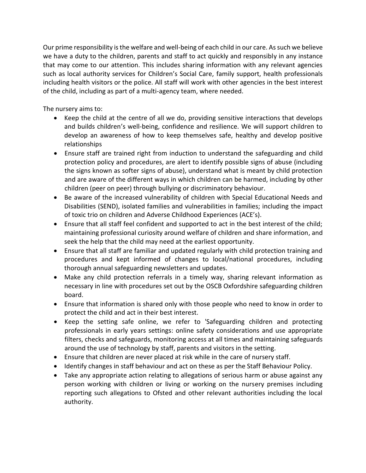Our prime responsibility is the welfare and well-being of each child in our care. As such we believe we have a duty to the children, parents and staff to act quickly and responsibly in any instance that may come to our attention. This includes sharing information with any relevant agencies such as local authority services for Children's Social Care, family support, health professionals including health visitors or the police. All staff will work with other agencies in the best interest of the child, including as part of a multi-agency team, where needed.

The nursery aims to:

- Keep the child at the centre of all we do, providing sensitive interactions that develops and builds children's well-being, confidence and resilience. We will support children to develop an awareness of how to keep themselves safe, healthy and develop positive relationships
- Ensure staff are trained right from induction to understand the safeguarding and child protection policy and procedures, are alert to identify possible signs of abuse (including the signs known as softer signs of abuse), understand what is meant by child protection and are aware of the different ways in which children can be harmed, including by other children (peer on peer) through bullying or discriminatory behaviour.
- Be aware of the increased vulnerability of children with Special Educational Needs and Disabilities (SEND), isolated families and vulnerabilities in families; including the impact of toxic trio on children and Adverse Childhood Experiences (ACE's).
- Ensure that all staff feel confident and supported to act in the best interest of the child; maintaining professional curiosity around welfare of children and share information, and seek the help that the child may need at the earliest opportunity.
- Ensure that all staff are familiar and updated regularly with child protection training and procedures and kept informed of changes to local/national procedures, including thorough annual safeguarding newsletters and updates.
- Make any child protection referrals in a timely way, sharing relevant information as necessary in line with procedures set out by the OSCB Oxfordshire safeguarding children board.
- Ensure that information is shared only with those people who need to know in order to protect the child and act in their best interest.
- Keep the setting safe online, we refer to 'Safeguarding children and protecting professionals in early years settings: online safety considerations and use appropriate filters, checks and safeguards, monitoring access at all times and maintaining safeguards around the use of technology by staff, parents and visitors in the setting.
- Ensure that children are never placed at risk while in the care of nursery staff.
- Identify changes in staff behaviour and act on these as per the Staff Behaviour Policy.
- Take any appropriate action relating to allegations of serious harm or abuse against any person working with children or living or working on the nursery premises including reporting such allegations to Ofsted and other relevant authorities including the local authority.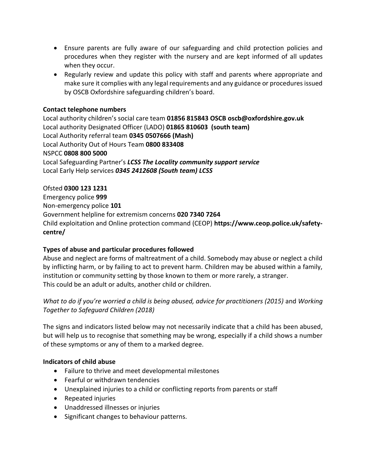- Ensure parents are fully aware of our safeguarding and child protection policies and procedures when they register with the nursery and are kept informed of all updates when they occur.
- Regularly review and update this policy with staff and parents where appropriate and make sure it complies with any legal requirements and any guidance or procedures issued by OSCB Oxfordshire safeguarding children's board.

## **Contact telephone numbers**

Local authority children's social care team **01856 815843 OSCB oscb@oxfordshire.gov.uk** Local authority Designated Officer (LADO) **01865 810603 (south team)**  Local Authority referral team **0345 0507666 (Mash)** Local Authority Out of Hours Team **0800 833408** NSPCC **0808 800 5000** Local Safeguarding Partner's *LCSS The Locality community support service*  Local Early Help services *0345 2412608 (South team) LCSS* 

# Ofsted **0300 123 1231**

Emergency police **999** Non-emergency police **101**  Government helpline for extremism concerns **020 7340 7264** Child exploitation and Online protection command (CEOP) **https://www.ceop.police.uk/safetycentre/**

# **Types of abuse and particular procedures followed**

Abuse and neglect are forms of maltreatment of a child. Somebody may abuse or neglect a child by inflicting harm, or by failing to act to prevent harm. Children may be abused within a family, institution or community setting by those known to them or more rarely, a stranger. This could be an adult or adults, another child or children.

# *What to do if you're worried a child is being abused, advice for practitioners (2015)* and *Working Together to Safeguard Children (2018)*

The signs and indicators listed below may not necessarily indicate that a child has been abused, but will help us to recognise that something may be wrong, especially if a child shows a number of these symptoms or any of them to a marked degree.

## **Indicators of child abuse**

- Failure to thrive and meet developmental milestones
- Fearful or withdrawn tendencies
- Unexplained injuries to a child or conflicting reports from parents or staff
- Repeated injuries
- Unaddressed illnesses or injuries
- Significant changes to behaviour patterns.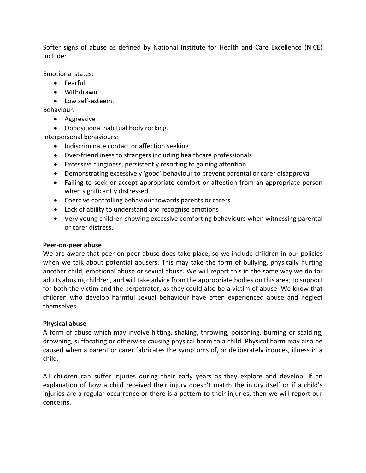Softer signs of abuse as defined by National Institute for Health and Care Excellence (NICE) include:

Emotional states:

- Fearful
- Withdrawn
- Low self-esteem.

Behaviour:

- Aggressive
- Oppositional habitual body rocking.

Interpersonal behaviours:

- Indiscriminate contact or affection seeking
- Over-friendliness to strangers including healthcare professionals
- Excessive clinginess, persistently resorting to gaining attention
- Demonstrating excessively 'good' behaviour to prevent parental or carer disapproval
- Failing to seek or accept appropriate comfort or affection from an appropriate person when significantly distressed
- Coercive controlling behaviour towards parents or carers
- Lack of ability to understand and recognise emotions
- Very young children showing excessive comforting behaviours when witnessing parental or carer distress.

## **Peer-on-peer abuse**

We are aware that peer-on-peer abuse does take place, so we include children in our policies when we talk about potential abusers. This may take the form of bullying, physically hurting another child, emotional abuse or sexual abuse. We will report this in the same way we do for adults abusing children, and will take advice from the appropriate bodies on this area; to support for both the victim and the perpetrator, as they could also be a victim of abuse. We know that children who develop harmful sexual behaviour have often experienced abuse and neglect themselves.

## **Physical abuse**

A form of abuse which may involve hitting, shaking, throwing, poisoning, burning or scalding, drowning, suffocating or otherwise causing physical harm to a child. Physical harm may also be caused when a parent or carer fabricates the symptoms of, or deliberately induces, illness in a child.

All children can suffer injuries during their early years as they explore and develop. If an explanation of how a child received their injury doesn't match the injury itself or if a child's injuries are a regular occurrence or there is a pattern to their injuries, then we will report our concerns.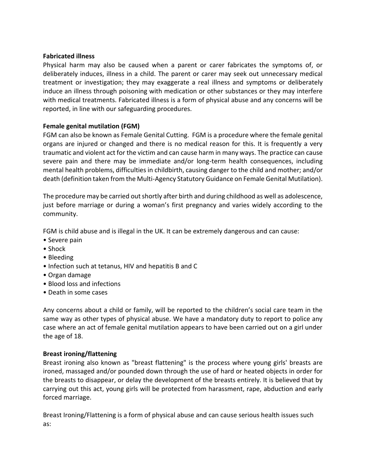#### **Fabricated illness**

Physical harm may also be caused when a parent or carer fabricates the symptoms of, or deliberately induces, illness in a child. The parent or carer may seek out unnecessary medical treatment or investigation; they may exaggerate a real illness and symptoms or deliberately induce an illness through poisoning with medication or other substances or they may interfere with medical treatments. Fabricated illness is a form of physical abuse and any concerns will be reported, in line with our safeguarding procedures.

## **Female genital mutilation (FGM)**

FGM can also be known as Female Genital Cutting. FGM is a procedure where the female genital organs are injured or changed and there is no medical reason for this. It is frequently a very traumatic and violent act for the victim and can cause harm in many ways. The practice can cause severe pain and there may be immediate and/or long-term health consequences, including mental health problems, difficulties in childbirth, causing danger to the child and mother; and/or death (definition taken from the Multi-Agency Statutory Guidance on Female Genital Mutilation).

The procedure may be carried out shortly after birth and during childhood as well as adolescence, just before marriage or during a woman's first pregnancy and varies widely according to the community.

FGM is child abuse and is illegal in the UK. It can be extremely dangerous and can cause:

- Severe pain
- Shock
- Bleeding
- Infection such at tetanus, HIV and hepatitis B and C
- Organ damage
- Blood loss and infections
- Death in some cases

Any concerns about a child or family, will be reported to the children's social care team in the same way as other types of physical abuse. We have a mandatory duty to report to police any case where an act of female genital mutilation appears to have been carried out on a girl under the age of 18.

#### **Breast ironing/flattening**

Breast ironing also known as "breast flattening" is the process where young girls' breasts are ironed, massaged and/or pounded down through the use of hard or heated objects in order for the breasts to disappear, or delay the development of the breasts entirely. It is believed that by carrying out this act, young girls will be protected from harassment, rape, abduction and early forced marriage.

Breast Ironing/Flattening is a form of physical abuse and can cause serious health issues such as: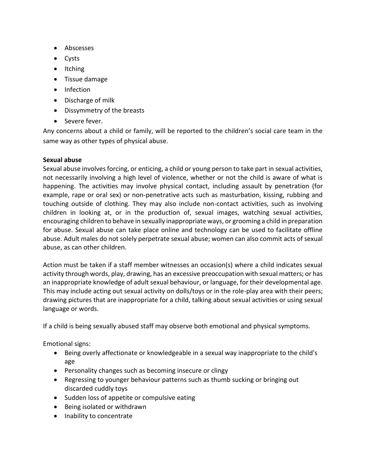- Abscesses
- Cysts
- Itching
- Tissue damage
- Infection
- Discharge of milk
- Dissymmetry of the breasts
- Severe fever.

Any concerns about a child or family, will be reported to the children's social care team in the same way as other types of physical abuse.

## **Sexual abuse**

Sexual abuse involves forcing, or enticing, a child or young person to take part in sexual activities, not necessarily involving a high level of violence, whether or not the child is aware of what is happening. The activities may involve physical contact, including assault by penetration (for example, rape or oral sex) or non-penetrative acts such as masturbation, kissing, rubbing and touching outside of clothing. They may also include non-contact activities, such as involving children in looking at, or in the production of, sexual images, watching sexual activities, encouraging children to behave in sexually inappropriate ways, or grooming a child in preparation for abuse. Sexual abuse can take place online and technology can be used to facilitate offline abuse. Adult males do not solely perpetrate sexual abuse; women can also commit acts of sexual abuse, as can other children.

Action must be taken if a staff member witnesses an occasion(s) where a child indicates sexual activity through words, play, drawing, has an excessive preoccupation with sexual matters; or has an inappropriate knowledge of adult sexual behaviour, or language, for their developmental age. This may include acting out sexual activity on dolls/toys or in the role-play area with their peers; drawing pictures that are inappropriate for a child, talking about sexual activities or using sexual language or words.

If a child is being sexually abused staff may observe both emotional and physical symptoms.

Emotional signs:

- Being overly affectionate or knowledgeable in a sexual way inappropriate to the child's age
- Personality changes such as becoming insecure or clingy
- Regressing to younger behaviour patterns such as thumb sucking or bringing out discarded cuddly toys
- Sudden loss of appetite or compulsive eating
- Being isolated or withdrawn
- Inability to concentrate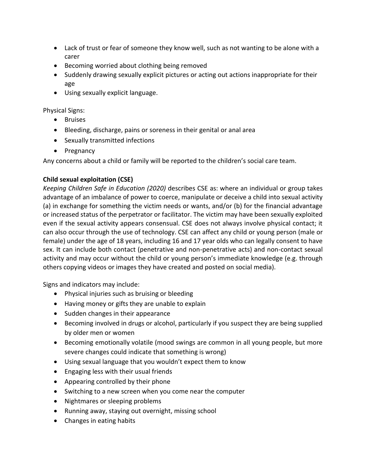- Lack of trust or fear of someone they know well, such as not wanting to be alone with a carer
- Becoming worried about clothing being removed
- Suddenly drawing sexually explicit pictures or acting out actions inappropriate for their age
- Using sexually explicit language.

Physical Signs:

- Bruises
- Bleeding, discharge, pains or soreness in their genital or anal area
- Sexually transmitted infections
- Pregnancy

Any concerns about a child or family will be reported to the children's social care team.

## **Child sexual exploitation (CSE)**

*Keeping Children Safe in Education (2020)* describes CSE as: where an individual or group takes advantage of an imbalance of power to coerce, manipulate or deceive a child into sexual activity (a) in exchange for something the victim needs or wants, and/or (b) for the financial advantage or increased status of the perpetrator or facilitator. The victim may have been sexually exploited even if the sexual activity appears consensual. CSE does not always involve physical contact; it can also occur through the use of technology. CSE can affect any child or young person (male or female) under the age of 18 years, including 16 and 17 year olds who can legally consent to have sex. It can include both contact (penetrative and non-penetrative acts) and non-contact sexual activity and may occur without the child or young person's immediate knowledge (e.g. through others copying videos or images they have created and posted on social media).

Signs and indicators may include:

- Physical injuries such as bruising or bleeding
- Having money or gifts they are unable to explain
- Sudden changes in their appearance
- Becoming involved in drugs or alcohol, particularly if you suspect they are being supplied by older men or women
- Becoming emotionally volatile (mood swings are common in all young people, but more severe changes could indicate that something is wrong)
- Using sexual language that you wouldn't expect them to know
- Engaging less with their usual friends
- Appearing controlled by their phone
- Switching to a new screen when you come near the computer
- Nightmares or sleeping problems
- Running away, staying out overnight, missing school
- Changes in eating habits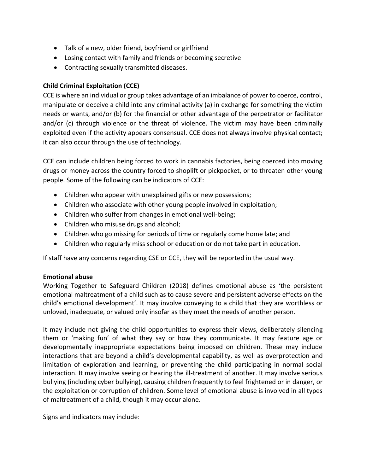- Talk of a new, older friend, boyfriend or girlfriend
- Losing contact with family and friends or becoming secretive
- Contracting sexually transmitted diseases.

## **Child Criminal Exploitation (CCE)**

CCE is where an individual or group takes advantage of an imbalance of power to coerce, control, manipulate or deceive a child into any criminal activity (a) in exchange for something the victim needs or wants, and/or (b) for the financial or other advantage of the perpetrator or facilitator and/or (c) through violence or the threat of violence. The victim may have been criminally exploited even if the activity appears consensual. CCE does not always involve physical contact; it can also occur through the use of technology.

CCE can include children being forced to work in cannabis factories, being coerced into moving drugs or money across the country forced to shoplift or pickpocket, or to threaten other young people. Some of the following can be indicators of CCE:

- Children who appear with unexplained gifts or new possessions;
- Children who associate with other young people involved in exploitation;
- Children who suffer from changes in emotional well-being;
- Children who misuse drugs and alcohol;
- Children who go missing for periods of time or regularly come home late; and
- Children who regularly miss school or education or do not take part in education.

If staff have any concerns regarding CSE or CCE, they will be reported in the usual way.

#### **Emotional abuse**

Working Together to Safeguard Children (2018) defines emotional abuse as 'the persistent emotional maltreatment of a child such as to cause severe and persistent adverse effects on the child's emotional development'. It may involve conveying to a child that they are worthless or unloved, inadequate, or valued only insofar as they meet the needs of another person.

It may include not giving the child opportunities to express their views, deliberately silencing them or 'making fun' of what they say or how they communicate. It may feature age or developmentally inappropriate expectations being imposed on children. These may include interactions that are beyond a child's developmental capability, as well as overprotection and limitation of exploration and learning, or preventing the child participating in normal social interaction. It may involve seeing or hearing the ill-treatment of another. It may involve serious bullying (including cyber bullying), causing children frequently to feel frightened or in danger, or the exploitation or corruption of children. Some level of emotional abuse is involved in all types of maltreatment of a child, though it may occur alone.

Signs and indicators may include: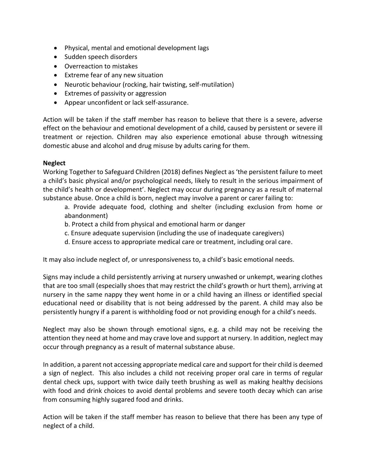- Physical, mental and emotional development lags
- Sudden speech disorders
- Overreaction to mistakes
- Extreme fear of any new situation
- Neurotic behaviour (rocking, hair twisting, self-mutilation)
- Extremes of passivity or aggression
- Appear unconfident or lack self-assurance.

Action will be taken if the staff member has reason to believe that there is a severe, adverse effect on the behaviour and emotional development of a child, caused by persistent or severe ill treatment or rejection. Children may also experience emotional abuse through witnessing domestic abuse and alcohol and drug misuse by adults caring for them.

## **Neglect**

Working Together to Safeguard Children (2018) defines Neglect as 'the persistent failure to meet a child's basic physical and/or psychological needs, likely to result in the serious impairment of the child's health or development'. Neglect may occur during pregnancy as a result of maternal substance abuse. Once a child is born, neglect may involve a parent or carer failing to:

a. Provide adequate food, clothing and shelter (including exclusion from home or abandonment)

- b. Protect a child from physical and emotional harm or danger
- c. Ensure adequate supervision (including the use of inadequate caregivers)
- d. Ensure access to appropriate medical care or treatment, including oral care.

It may also include neglect of, or unresponsiveness to, a child's basic emotional needs.

Signs may include a child persistently arriving at nursery unwashed or unkempt, wearing clothes that are too small (especially shoes that may restrict the child's growth or hurt them), arriving at nursery in the same nappy they went home in or a child having an illness or identified special educational need or disability that is not being addressed by the parent. A child may also be persistently hungry if a parent is withholding food or not providing enough for a child's needs.

Neglect may also be shown through emotional signs, e.g. a child may not be receiving the attention they need at home and may crave love and support at nursery. In addition, neglect may occur through pregnancy as a result of maternal substance abuse.

In addition, a parent not accessing appropriate medical care and support for their child is deemed a sign of neglect. This also includes a child not receiving proper oral care in terms of regular dental check ups, support with twice daily teeth brushing as well as making healthy decisions with food and drink choices to avoid dental problems and severe tooth decay which can arise from consuming highly sugared food and drinks.

Action will be taken if the staff member has reason to believe that there has been any type of neglect of a child.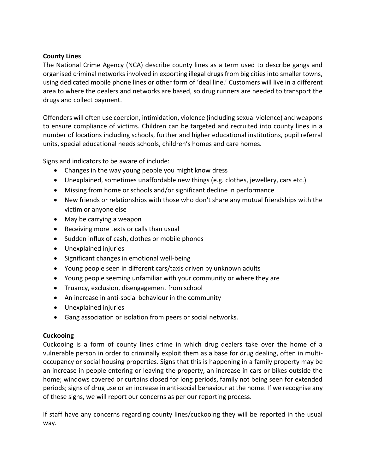#### **County Lines**

The National Crime Agency (NCA) describe county lines as a term used to describe gangs and organised criminal networks involved in exporting illegal drugs from big cities into smaller towns, using dedicated mobile phone lines or other form of 'deal line.' Customers will live in a different area to where the dealers and networks are based, so drug runners are needed to transport the drugs and collect payment.

Offenders will often use coercion, intimidation, violence (including sexual violence) and weapons to ensure compliance of victims. Children can be targeted and recruited into county lines in a number of locations including schools, further and higher educational institutions, pupil referral units, special educational needs schools, children's homes and care homes.

Signs and indicators to be aware of include:

- Changes in the way young people you might know dress
- Unexplained, sometimes unaffordable new things (e.g. clothes, jewellery, cars etc.)
- Missing from home or schools and/or significant decline in performance
- New friends or relationships with those who don't share any mutual friendships with the victim or anyone else
- May be carrying a weapon
- Receiving more texts or calls than usual
- Sudden influx of cash, clothes or mobile phones
- Unexplained injuries
- Significant changes in emotional well-being
- Young people seen in different cars/taxis driven by unknown adults
- Young people seeming unfamiliar with your community or where they are
- Truancy, exclusion, disengagement from school
- An increase in anti-social behaviour in the community
- Unexplained injuries
- Gang association or isolation from peers or social networks.

## **Cuckooing**

Cuckooing is a form of county lines crime in which drug dealers take over the home of a vulnerable person in order to criminally exploit them as a base for drug dealing, often in multioccupancy or social housing properties. Signs that this is happening in a family property may be an increase in people entering or leaving the property, an increase in cars or bikes outside the home; windows covered or curtains closed for long periods, family not being seen for extended periods; signs of drug use or an increase in anti-social behaviour at the home. If we recognise any of these signs, we will report our concerns as per our reporting process.

If staff have any concerns regarding county lines/cuckooing they will be reported in the usual way.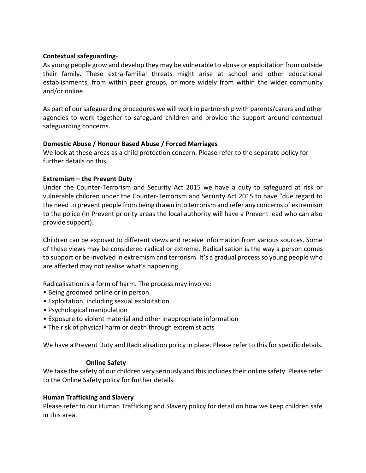#### **Contextual safeguarding**-

As young people grow and develop they may be vulnerable to abuse or exploitation from outside their family. These extra-familial threats might arise at school and other educational establishments, from within peer groups, or more widely from within the wider community and/or online.

As part of our safeguarding procedures we will work in partnership with parents/carers and other agencies to work together to safeguard children and provide the support around contextual safeguarding concerns.

## **Domestic Abuse / Honour Based Abuse / Forced Marriages**

We look at these areas as a child protection concern. Please refer to the separate policy for further details on this.

## **Extremism – the Prevent Duty**

Under the Counter-Terrorism and Security Act 2015 we have a duty to safeguard at risk or vulnerable children under the Counter-Terrorism and Security Act 2015 to have "due regard to the need to prevent people from being drawn into terrorism and refer any concerns of extremism to the police (In Prevent priority areas the local authority will have a Prevent lead who can also provide support).

Children can be exposed to different views and receive information from various sources. Some of these views may be considered radical or extreme. Radicalisation is the way a person comes to support or be involved in extremism and terrorism. It's a gradual process so young people who are affected may not realise what's happening.

Radicalisation is a form of harm. The process may involve:

- Being groomed online or in person
- Exploitation, including sexual exploitation
- Psychological manipulation
- Exposure to violent material and other inappropriate information
- The risk of physical harm or death through extremist acts

We have a Prevent Duty and Radicalisation policy in place. Please refer to this for specific details.

#### **Online Safety**

We take the safety of our children very seriously and this includes their online safety. Please refer to the Online Safety policy for further details.

#### **Human Trafficking and Slavery**

Please refer to our Human Trafficking and Slavery policy for detail on how we keep children safe in this area.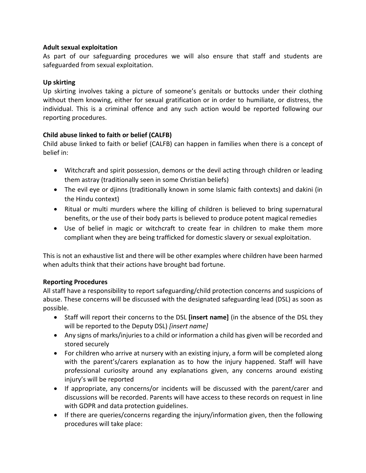## **Adult sexual exploitation**

As part of our safeguarding procedures we will also ensure that staff and students are safeguarded from sexual exploitation.

## **Up skirting**

Up skirting involves taking a picture of someone's genitals or buttocks under their clothing without them knowing, either for sexual gratification or in order to humiliate, or distress, the individual. This is a criminal offence and any such action would be reported following our reporting procedures.

# **Child abuse linked to faith or belief (CALFB)**

Child abuse linked to faith or belief (CALFB) can happen in families when there is a concept of belief in:

- Witchcraft and spirit possession, demons or the devil acting through children or leading them astray (traditionally seen in some Christian beliefs)
- The evil eye or djinns (traditionally known in some Islamic faith contexts) and dakini (in the Hindu context)
- Ritual or multi murders where the killing of children is believed to bring supernatural benefits, or the use of their body parts is believed to produce potent magical remedies
- Use of belief in magic or witchcraft to create fear in children to make them more compliant when they are being trafficked for domestic slavery or sexual exploitation.

This is not an exhaustive list and there will be other examples where children have been harmed when adults think that their actions have brought bad fortune.

## **Reporting Procedures**

All staff have a responsibility to report safeguarding/child protection concerns and suspicions of abuse. These concerns will be discussed with the designated safeguarding lead (DSL) as soon as possible.

- Staff will report their concerns to the DSL **[insert name]** (in the absence of the DSL they will be reported to the Deputy DSL) *[insert name]*
- Any signs of marks/injuries to a child or information a child has given will be recorded and stored securely
- For children who arrive at nursery with an existing injury, a form will be completed along with the parent's/carers explanation as to how the injury happened. Staff will have professional curiosity around any explanations given, any concerns around existing injury's will be reported
- If appropriate, any concerns/or incidents will be discussed with the parent/carer and discussions will be recorded. Parents will have access to these records on request in line with GDPR and data protection guidelines.
- If there are queries/concerns regarding the injury/information given, then the following procedures will take place: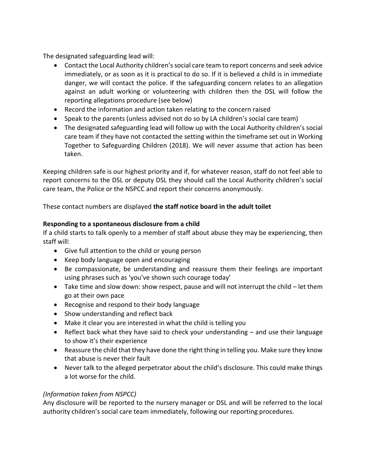The designated safeguarding lead will:

- Contact the Local Authority children's social care team to report concerns and seek advice immediately, or as soon as it is practical to do so. If it is believed a child is in immediate danger, we will contact the police. If the safeguarding concern relates to an allegation against an adult working or volunteering with children then the DSL will follow the reporting allegations procedure (see below)
- Record the information and action taken relating to the concern raised
- Speak to the parents (unless advised not do so by LA children's social care team)
- The designated safeguarding lead will follow up with the Local Authority children's social care team if they have not contacted the setting within the timeframe set out in Working Together to Safeguarding Children (2018). We will never assume that action has been taken.

Keeping children safe is our highest priority and if, for whatever reason, staff do not feel able to report concerns to the DSL or deputy DSL they should call the Local Authority children's social care team, the Police or the NSPCC and report their concerns anonymously.

These contact numbers are displayed **the staff notice board in the adult toilet** 

## **Responding to a spontaneous disclosure from a child**

If a child starts to talk openly to a member of staff about abuse they may be experiencing, then staff will:

- Give full attention to the child or young person
- Keep body language open and encouraging
- Be compassionate, be understanding and reassure them their feelings are important using phrases such as 'you've shown such courage today'
- Take time and slow down: show respect, pause and will not interrupt the child let them go at their own pace
- Recognise and respond to their body language
- Show understanding and reflect back
- Make it clear you are interested in what the child is telling you
- Reflect back what they have said to check your understanding and use their language to show it's their experience
- Reassure the child that they have done the right thing in telling you. Make sure they know that abuse is never their fault
- Never talk to the alleged perpetrator about the child's disclosure. This could make things a lot worse for the child.

# *(Information taken from NSPCC)*

Any disclosure will be reported to the nursery manager or DSL and will be referred to the local authority children's social care team immediately, following our reporting procedures.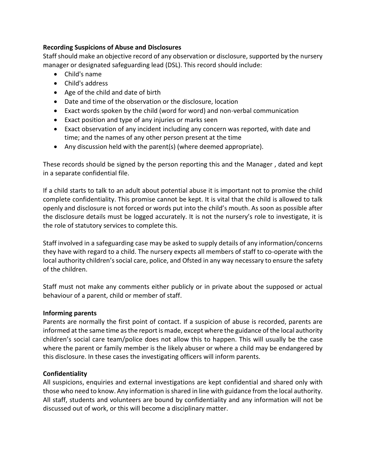## **Recording Suspicions of Abuse and Disclosures**

Staff should make an objective record of any observation or disclosure, supported by the nursery manager or designated safeguarding lead (DSL). This record should include:

- Child's name
- Child's address
- Age of the child and date of birth
- Date and time of the observation or the disclosure, location
- Exact words spoken by the child (word for word) and non-verbal communication
- Exact position and type of any injuries or marks seen
- Exact observation of any incident including any concern was reported, with date and time; and the names of any other person present at the time
- Any discussion held with the parent(s) (where deemed appropriate).

These records should be signed by the person reporting this and the Manager , dated and kept in a separate confidential file.

If a child starts to talk to an adult about potential abuse it is important not to promise the child complete confidentiality. This promise cannot be kept. It is vital that the child is allowed to talk openly and disclosure is not forced or words put into the child's mouth. As soon as possible after the disclosure details must be logged accurately. It is not the nursery's role to investigate, it is the role of statutory services to complete this.

Staff involved in a safeguarding case may be asked to supply details of any information/concerns they have with regard to a child. The nursery expects all members of staff to co-operate with the local authority children's social care, police, and Ofsted in any way necessary to ensure the safety of the children.

Staff must not make any comments either publicly or in private about the supposed or actual behaviour of a parent, child or member of staff.

#### **Informing parents**

Parents are normally the first point of contact. If a suspicion of abuse is recorded, parents are informed at the same time as the report is made, except where the guidance of the local authority children's social care team/police does not allow this to happen. This will usually be the case where the parent or family member is the likely abuser or where a child may be endangered by this disclosure. In these cases the investigating officers will inform parents.

## **Confidentiality**

All suspicions, enquiries and external investigations are kept confidential and shared only with those who need to know. Any information is shared in line with guidance from the local authority. All staff, students and volunteers are bound by confidentiality and any information will not be discussed out of work, or this will become a disciplinary matter.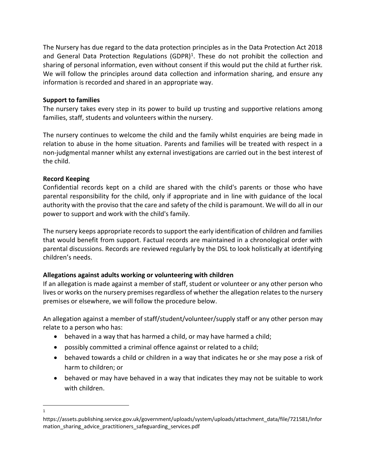The Nursery has due regard to the data protection principles as in the Data Protection Act 2018 and General Data Protection Regulations (GDPR)<sup>1</sup>. These do not prohibit the collection and sharing of personal information, even without consent if this would put the child at further risk. We will follow the principles around data collection and information sharing, and ensure any information is recorded and shared in an appropriate way.

## **Support to families**

The nursery takes every step in its power to build up trusting and supportive relations among families, staff, students and volunteers within the nursery.

The nursery continues to welcome the child and the family whilst enquiries are being made in relation to abuse in the home situation. Parents and families will be treated with respect in a non-judgmental manner whilst any external investigations are carried out in the best interest of the child.

## **Record Keeping**

Confidential records kept on a child are shared with the child's parents or those who have parental responsibility for the child, only if appropriate and in line with guidance of the local authority with the proviso that the care and safety of the child is paramount. We will do all in our power to support and work with the child's family.

The nursery keeps appropriate records to support the early identification of children and families that would benefit from support. Factual records are maintained in a chronological order with parental discussions. Records are reviewed regularly by the DSL to look holistically at identifying children's needs.

## **Allegations against adults working or volunteering with children**

If an allegation is made against a member of staff, student or volunteer or any other person who lives or works on the nursery premises regardless of whether the allegation relates to the nursery premises or elsewhere, we will follow the procedure below.

An allegation against a member of staff/student/volunteer/supply staff or any other person may relate to a person who has:

- behaved in a way that has harmed a child, or may have harmed a child;
- possibly committed a criminal offence against or related to a child;
- behaved towards a child or children in a way that indicates he or she may pose a risk of harm to children; or
- behaved or may have behaved in a way that indicates they may not be suitable to work with children.

<sup>1</sup>

https://assets.publishing.service.gov.uk/government/uploads/system/uploads/attachment\_data/file/721581/Infor mation\_sharing\_advice\_practitioners\_safeguarding\_services.pdf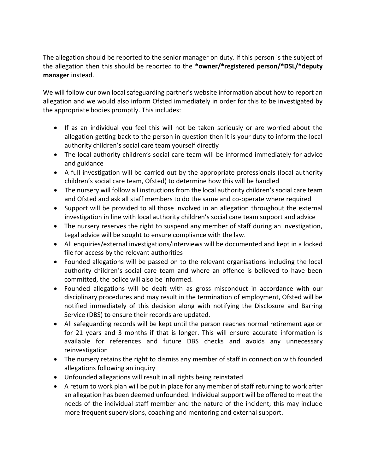The allegation should be reported to the senior manager on duty. If this person is the subject of the allegation then this should be reported to the **\*owner/\*registered person/\*DSL/\*deputy manager** instead.

We will follow our own local safeguarding partner's website information about how to report an allegation and we would also inform Ofsted immediately in order for this to be investigated by the appropriate bodies promptly. This includes:

- If as an individual you feel this will not be taken seriously or are worried about the allegation getting back to the person in question then it is your duty to inform the local authority children's social care team yourself directly
- The local authority children's social care team will be informed immediately for advice and guidance
- A full investigation will be carried out by the appropriate professionals (local authority children's social care team, Ofsted) to determine how this will be handled
- The nursery will follow all instructions from the local authority children's social care team and Ofsted and ask all staff members to do the same and co-operate where required
- Support will be provided to all those involved in an allegation throughout the external investigation in line with local authority children's social care team support and advice
- The nursery reserves the right to suspend any member of staff during an investigation, Legal advice will be sought to ensure compliance with the law.
- All enquiries/external investigations/interviews will be documented and kept in a locked file for access by the relevant authorities
- Founded allegations will be passed on to the relevant organisations including the local authority children's social care team and where an offence is believed to have been committed, the police will also be informed.
- Founded allegations will be dealt with as gross misconduct in accordance with our disciplinary procedures and may result in the termination of employment, Ofsted will be notified immediately of this decision along with notifying the Disclosure and Barring Service (DBS) to ensure their records are updated.
- All safeguarding records will be kept until the person reaches normal retirement age or for 21 years and 3 months if that is longer. This will ensure accurate information is available for references and future DBS checks and avoids any unnecessary reinvestigation
- The nursery retains the right to dismiss any member of staff in connection with founded allegations following an inquiry
- Unfounded allegations will result in all rights being reinstated
- A return to work plan will be put in place for any member of staff returning to work after an allegation has been deemed unfounded. Individual support will be offered to meet the needs of the individual staff member and the nature of the incident; this may include more frequent supervisions, coaching and mentoring and external support.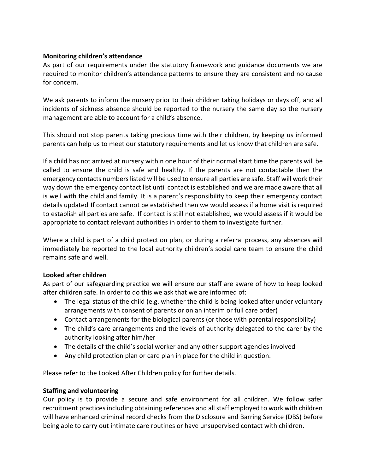## **Monitoring children's attendance**

As part of our requirements under the statutory framework and guidance documents we are required to monitor children's attendance patterns to ensure they are consistent and no cause for concern.

We ask parents to inform the nursery prior to their children taking holidays or days off, and all incidents of sickness absence should be reported to the nursery the same day so the nursery management are able to account for a child's absence.

This should not stop parents taking precious time with their children, by keeping us informed parents can help us to meet our statutory requirements and let us know that children are safe.

If a child has not arrived at nursery within one hour of their normal start time the parents will be called to ensure the child is safe and healthy. If the parents are not contactable then the emergency contacts numbers listed will be used to ensure all parties are safe. Staff will work their way down the emergency contact list until contact is established and we are made aware that all is well with the child and family. It is a parent's responsibility to keep their emergency contact details updated. If contact cannot be established then we would assess if a home visit is required to establish all parties are safe. If contact is still not established, we would assess if it would be appropriate to contact relevant authorities in order to them to investigate further.

Where a child is part of a child protection plan, or during a referral process, any absences will immediately be reported to the local authority children's social care team to ensure the child remains safe and well.

## **Looked after children**

As part of our safeguarding practice we will ensure our staff are aware of how to keep looked after children safe. In order to do this we ask that we are informed of:

- The legal status of the child (e.g. whether the child is being looked after under voluntary arrangements with consent of parents or on an interim or full care order)
- Contact arrangements for the biological parents (or those with parental responsibility)
- The child's care arrangements and the levels of authority delegated to the carer by the authority looking after him/her
- The details of the child's social worker and any other support agencies involved
- Any child protection plan or care plan in place for the child in question.

Please refer to the Looked After Children policy for further details.

## **Staffing and volunteering**

Our policy is to provide a secure and safe environment for all children. We follow safer recruitment practices including obtaining references and all staff employed to work with children will have enhanced criminal record checks from the Disclosure and Barring Service (DBS) before being able to carry out intimate care routines or have unsupervised contact with children.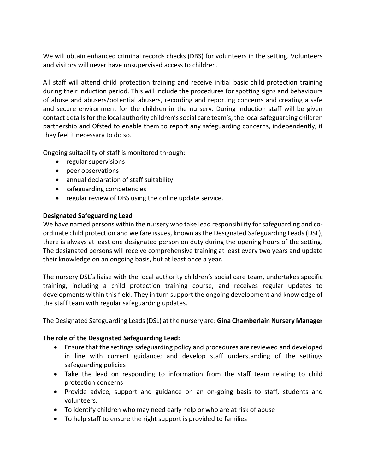We will obtain enhanced criminal records checks (DBS) for volunteers in the setting. Volunteers and visitors will never have unsupervised access to children.

All staff will attend child protection training and receive initial basic child protection training during their induction period. This will include the procedures for spotting signs and behaviours of abuse and abusers/potential abusers, recording and reporting concerns and creating a safe and secure environment for the children in the nursery. During induction staff will be given contact details for the local authority children's social care team's, the local safeguarding children partnership and Ofsted to enable them to report any safeguarding concerns, independently, if they feel it necessary to do so.

Ongoing suitability of staff is monitored through:

- regular supervisions
- peer observations
- annual declaration of staff suitability
- safeguarding competencies
- regular review of DBS using the online update service.

## **Designated Safeguarding Lead**

We have named persons within the nursery who take lead responsibility for safeguarding and coordinate child protection and welfare issues, known as the Designated Safeguarding Leads (DSL), there is always at least one designated person on duty during the opening hours of the setting. The designated persons will receive comprehensive training at least every two years and update their knowledge on an ongoing basis, but at least once a year.

The nursery DSL's liaise with the local authority children's social care team, undertakes specific training, including a child protection training course, and receives regular updates to developments within this field. They in turn support the ongoing development and knowledge of the staff team with regular safeguarding updates.

The Designated Safeguarding Leads (DSL) at the nursery are: **Gina Chamberlain Nursery Manager** 

## **The role of the Designated Safeguarding Lead:**

- Ensure that the settings safeguarding policy and procedures are reviewed and developed in line with current guidance; and develop staff understanding of the settings safeguarding policies
- Take the lead on responding to information from the staff team relating to child protection concerns
- Provide advice, support and guidance on an on-going basis to staff, students and volunteers.
- To identify children who may need early help or who are at risk of abuse
- To help staff to ensure the right support is provided to families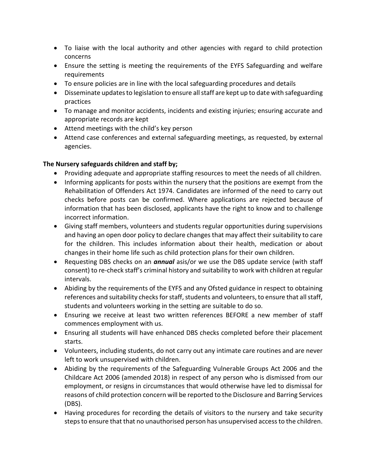- To liaise with the local authority and other agencies with regard to child protection concerns
- Ensure the setting is meeting the requirements of the EYFS Safeguarding and welfare requirements
- To ensure policies are in line with the local safeguarding procedures and details
- Disseminate updates to legislation to ensure all staff are kept up to date with safeguarding practices
- To manage and monitor accidents, incidents and existing injuries; ensuring accurate and appropriate records are kept
- Attend meetings with the child's key person
- Attend case conferences and external safeguarding meetings, as requested, by external agencies.

# **The Nursery safeguards children and staff by;**

- Providing adequate and appropriate staffing resources to meet the needs of all children.
- Informing applicants for posts within the nursery that the positions are exempt from the Rehabilitation of Offenders Act 1974. Candidates are informed of the need to carry out checks before posts can be confirmed. Where applications are rejected because of information that has been disclosed, applicants have the right to know and to challenge incorrect information.
- Giving staff members, volunteers and students regular opportunities during supervisions and having an open door policy to declare changes that may affect their suitability to care for the children. This includes information about their health, medication or about changes in their home life such as child protection plans for their own children.
- Requesting DBS checks on an *annual* asis/or we use the DBS update service (with staff consent) to re-check staff's criminal history and suitability to work with children at regular intervals.
- Abiding by the requirements of the EYFS and any Ofsted guidance in respect to obtaining references and suitability checks for staff, students and volunteers, to ensure that all staff, students and volunteers working in the setting are suitable to do so.
- Ensuring we receive at least two written references BEFORE a new member of staff commences employment with us.
- Ensuring all students will have enhanced DBS checks completed before their placement starts.
- Volunteers, including students, do not carry out any intimate care routines and are never left to work unsupervised with children.
- Abiding by the requirements of the Safeguarding Vulnerable Groups Act 2006 and the Childcare Act 2006 (amended 2018) in respect of any person who is dismissed from our employment, or resigns in circumstances that would otherwise have led to dismissal for reasons of child protection concern will be reported to the Disclosure and Barring Services (DBS).
- Having procedures for recording the details of visitors to the nursery and take security steps to ensure that that no unauthorised person has unsupervised access to the children.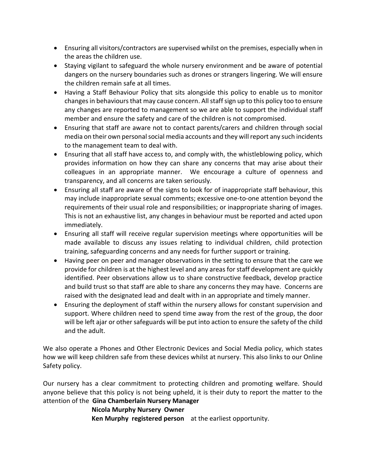- Ensuring all visitors/contractors are supervised whilst on the premises, especially when in the areas the children use.
- Staying vigilant to safeguard the whole nursery environment and be aware of potential dangers on the nursery boundaries such as drones or strangers lingering. We will ensure the children remain safe at all times.
- Having a Staff Behaviour Policy that sits alongside this policy to enable us to monitor changes in behaviours that may cause concern. All staff sign up to this policy too to ensure any changes are reported to management so we are able to support the individual staff member and ensure the safety and care of the children is not compromised.
- Ensuring that staff are aware not to contact parents/carers and children through social media on their own personal social media accounts and they will report any such incidents to the management team to deal with.
- Ensuring that all staff have access to, and comply with, the whistleblowing policy, which provides information on how they can share any concerns that may arise about their colleagues in an appropriate manner. We encourage a culture of openness and transparency, and all concerns are taken seriously.
- Ensuring all staff are aware of the signs to look for of inappropriate staff behaviour, this may include inappropriate sexual comments; excessive one-to-one attention beyond the requirements of their usual role and responsibilities; or inappropriate sharing of images. This is not an exhaustive list, any changes in behaviour must be reported and acted upon immediately.
- Ensuring all staff will receive regular supervision meetings where opportunities will be made available to discuss any issues relating to individual children, child protection training, safeguarding concerns and any needs for further support or training.
- Having peer on peer and manager observations in the setting to ensure that the care we provide for children is at the highest level and any areas for staff development are quickly identified. Peer observations allow us to share constructive feedback, develop practice and build trust so that staff are able to share any concerns they may have. Concerns are raised with the designated lead and dealt with in an appropriate and timely manner.
- Ensuring the deployment of staff within the nursery allows for constant supervision and support. Where children need to spend time away from the rest of the group, the door will be left ajar or other safeguards will be put into action to ensure the safety of the child and the adult.

We also operate a Phones and Other Electronic Devices and Social Media policy, which states how we will keep children safe from these devices whilst at nursery. This also links to our Online Safety policy.

Our nursery has a clear commitment to protecting children and promoting welfare. Should anyone believe that this policy is not being upheld, it is their duty to report the matter to the attention of the **Gina Chamberlain Nursery Manager** 

## **Nicola Murphy Nursery Owner**

 **Ken Murphy registered person** at the earliest opportunity.